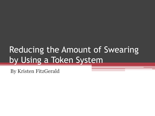## Reducing the Amount of Swearing by Using a Token System

By Kristen FitzGerald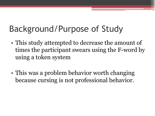# Background/Purpose of Study

- This study attempted to decrease the amount of times the participant swears using the F-word by using a token system
- This was a problem behavior worth changing because cursing is not professional behavior.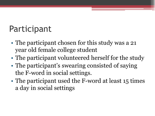## Participant

- The participant chosen for this study was a 21 year old female college student
- The participant volunteered herself for the study
- The participant's swearing consisted of saying the F-word in social settings.
- The participant used the F-word at least 15 times a day in social settings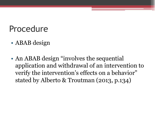#### Procedure

- ABAB design
- An ABAB design "involves the sequential application and withdrawal of an intervention to verify the intervention's effects on a behavior" stated by Alberto & Troutman (2013, p.134)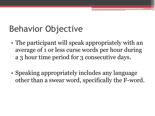## Behavior Objective

- The participant will speak appropriately with an average of 1 or less curse words per hour during a 3 hour time period for 3 consecutive days.
- Speaking appropriately includes any language other than a swear word, specifically the F-word.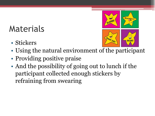## Materials

• Stickers



- Using the natural environment of the participant
- Providing positive praise
- And the possibility of going out to lunch if the participant collected enough stickers by refraining from swearing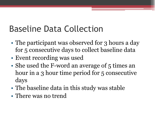## Baseline Data Collection

- The participant was observed for 3 hours a day for 5 consecutive days to collect baseline data
- Event recording was used
- She used the F-word an average of 5 times an hour in a 3 hour time period for 5 consecutive days
- The baseline data in this study was stable
- There was no trend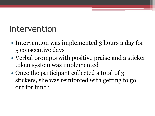### Intervention

- Intervention was implemented 3 hours a day for 5 consecutive days
- Verbal prompts with positive praise and a sticker token system was implemented
- Once the participant collected a total of 3 stickers, she was reinforced with getting to go out for lunch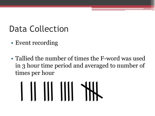## Data Collection

- Event recording
- Tallied the number of times the F-word was used in 3 hour time period and averaged to number of times per hour

#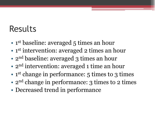### Results

- 1<sup>st</sup> baseline: averaged 5 times an hour
- 1<sup>st</sup> intervention: averaged 2 times an hour
- 2<sup>nd</sup> baseline: averaged 3 times an hour
- 2<sup>nd</sup> intervention: averaged 1 time an hour
- 1<sup>st</sup> change in performance: 5 times to 3 times
- $2<sup>nd</sup>$  change in performance: 3 times to 2 times
- Decreased trend in performance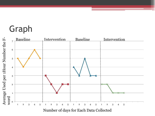## Graph

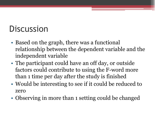## **Discussion**

- Based on the graph, there was a functional relationship between the dependent variable and the independent variable
- The participant could have an off day, or outside factors could contribute to using the F-word more than 1 time per day after the study is finished
- Would be interesting to see if it could be reduced to zero
- Observing in more than 1 setting could be changed